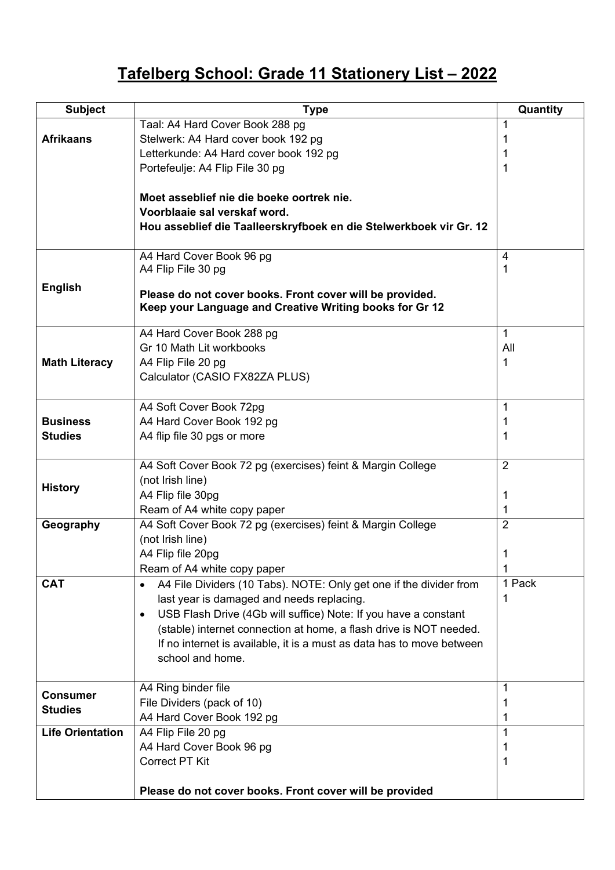## **Tafelberg School: Grade 11 Stationery List – 2022**

| <b>Subject</b>          | <b>Type</b>                                                                                                         | Quantity       |
|-------------------------|---------------------------------------------------------------------------------------------------------------------|----------------|
|                         | Taal: A4 Hard Cover Book 288 pg                                                                                     | 1              |
| <b>Afrikaans</b>        | Stelwerk: A4 Hard cover book 192 pg                                                                                 | 1              |
|                         | Letterkunde: A4 Hard cover book 192 pg                                                                              | 1              |
|                         | Portefeulje: A4 Flip File 30 pg                                                                                     | 1              |
|                         |                                                                                                                     |                |
|                         | Moet asseblief nie die boeke oortrek nie.                                                                           |                |
|                         | Voorblaaie sal verskaf word.                                                                                        |                |
|                         | Hou asseblief die Taalleerskryfboek en die Stelwerkboek vir Gr. 12                                                  |                |
|                         | A4 Hard Cover Book 96 pg                                                                                            | 4              |
|                         | A4 Flip File 30 pg                                                                                                  | 1              |
| <b>English</b>          |                                                                                                                     |                |
|                         | Please do not cover books. Front cover will be provided.<br>Keep your Language and Creative Writing books for Gr 12 |                |
|                         |                                                                                                                     |                |
|                         | A4 Hard Cover Book 288 pg                                                                                           | $\mathbf{1}$   |
|                         | Gr 10 Math Lit workbooks                                                                                            | All            |
| <b>Math Literacy</b>    | A4 Flip File 20 pg                                                                                                  | 1              |
|                         | Calculator (CASIO FX82ZA PLUS)                                                                                      |                |
|                         |                                                                                                                     |                |
|                         | A4 Soft Cover Book 72pg                                                                                             | 1              |
| <b>Business</b>         | A4 Hard Cover Book 192 pg                                                                                           | 1              |
| <b>Studies</b>          | A4 flip file 30 pgs or more                                                                                         | 1              |
|                         | A4 Soft Cover Book 72 pg (exercises) feint & Margin College                                                         | $\overline{2}$ |
|                         | (not Irish line)                                                                                                    |                |
| <b>History</b>          | A4 Flip file 30pg                                                                                                   | 1              |
|                         | Ream of A4 white copy paper                                                                                         | 1              |
| Geography               | A4 Soft Cover Book 72 pg (exercises) feint & Margin College                                                         | $\overline{2}$ |
|                         | (not Irish line)                                                                                                    |                |
|                         | A4 Flip file 20pg                                                                                                   | 1              |
|                         | Ream of A4 white copy paper                                                                                         | 1              |
| <b>CAT</b>              | A4 File Dividers (10 Tabs). NOTE: Only get one if the divider from<br>$\bullet$                                     | 1 Pack         |
|                         | last year is damaged and needs replacing.                                                                           | 1              |
|                         | USB Flash Drive (4Gb will suffice) Note: If you have a constant<br>$\bullet$                                        |                |
|                         | (stable) internet connection at home, a flash drive is NOT needed.                                                  |                |
|                         | If no internet is available, it is a must as data has to move between                                               |                |
|                         | school and home.                                                                                                    |                |
|                         | A4 Ring binder file                                                                                                 | 1              |
| <b>Consumer</b>         | File Dividers (pack of 10)                                                                                          | 1              |
| <b>Studies</b>          | A4 Hard Cover Book 192 pg                                                                                           | 1              |
| <b>Life Orientation</b> | A4 Flip File 20 pg                                                                                                  | 1              |
|                         | A4 Hard Cover Book 96 pg                                                                                            | 1              |
|                         | <b>Correct PT Kit</b>                                                                                               | 1              |
|                         |                                                                                                                     |                |
|                         | Please do not cover books. Front cover will be provided                                                             |                |